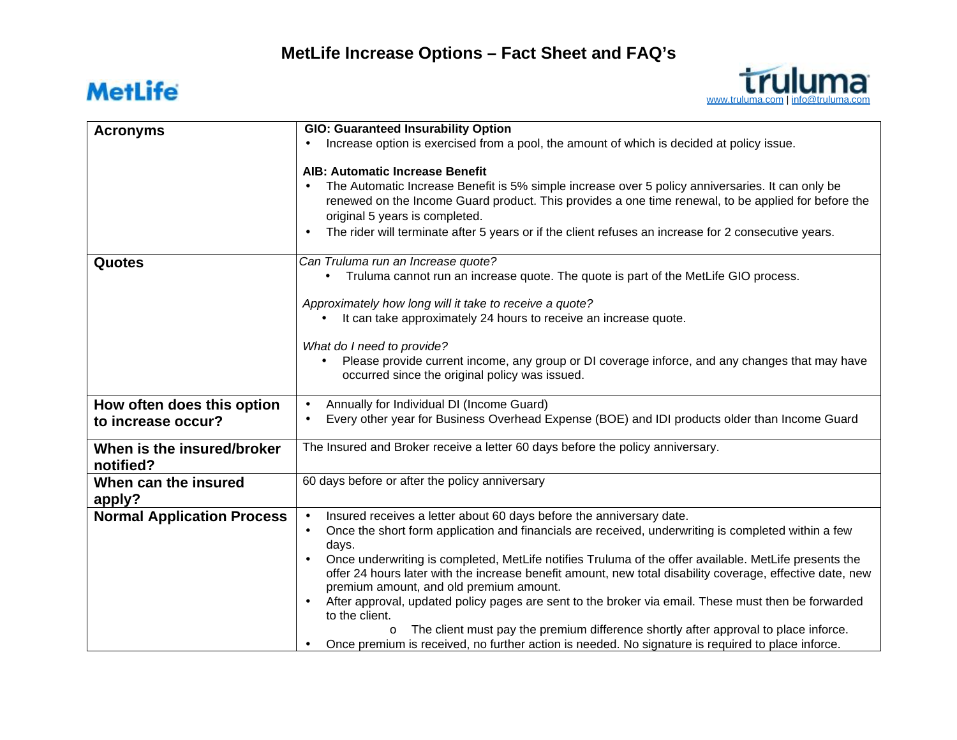## **MetLife**



| <b>Acronyms</b>                   | GIO: Guaranteed Insurability Option                                                                                                                  |
|-----------------------------------|------------------------------------------------------------------------------------------------------------------------------------------------------|
|                                   | Increase option is exercised from a pool, the amount of which is decided at policy issue.                                                            |
|                                   |                                                                                                                                                      |
|                                   | <b>AIB: Automatic Increase Benefit</b>                                                                                                               |
|                                   | The Automatic Increase Benefit is 5% simple increase over 5 policy anniversaries. It can only be                                                     |
|                                   | renewed on the Income Guard product. This provides a one time renewal, to be applied for before the                                                  |
|                                   | original 5 years is completed.                                                                                                                       |
|                                   | The rider will terminate after 5 years or if the client refuses an increase for 2 consecutive years.                                                 |
| Quotes                            | Can Truluma run an Increase quote?                                                                                                                   |
|                                   | Truluma cannot run an increase quote. The quote is part of the MetLife GIO process.                                                                  |
|                                   | Approximately how long will it take to receive a quote?                                                                                              |
|                                   | It can take approximately 24 hours to receive an increase quote.                                                                                     |
|                                   | What do I need to provide?                                                                                                                           |
|                                   | Please provide current income, any group or DI coverage inforce, and any changes that may have<br>occurred since the original policy was issued.     |
| How often does this option        | Annually for Individual DI (Income Guard)                                                                                                            |
| to increase occur?                | Every other year for Business Overhead Expense (BOE) and IDI products older than Income Guard                                                        |
| When is the insured/broker        | The Insured and Broker receive a letter 60 days before the policy anniversary.                                                                       |
| notified?                         |                                                                                                                                                      |
| When can the insured              | 60 days before or after the policy anniversary                                                                                                       |
| apply?                            |                                                                                                                                                      |
| <b>Normal Application Process</b> | Insured receives a letter about 60 days before the anniversary date.                                                                                 |
|                                   | Once the short form application and financials are received, underwriting is completed within a few<br>$\blacksquare$                                |
|                                   | days.                                                                                                                                                |
|                                   | Once underwriting is completed, MetLife notifies Truluma of the offer available. MetLife presents the                                                |
|                                   | offer 24 hours later with the increase benefit amount, new total disability coverage, effective date, new<br>premium amount, and old premium amount. |
|                                   | After approval, updated policy pages are sent to the broker via email. These must then be forwarded<br>to the client.                                |
|                                   | The client must pay the premium difference shortly after approval to place inforce.<br>$\circ$                                                       |
|                                   | Once premium is received, no further action is needed. No signature is required to place inforce.                                                    |